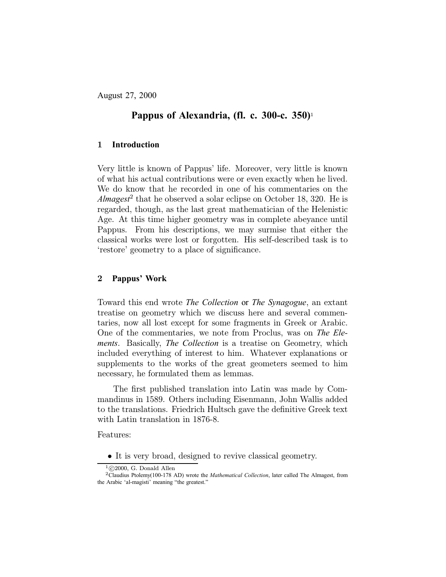August 27, 2000

# **Pappus of Alexandria, (fl. c. 300-c. 350)**!

## 1 **Introduction**

Very little is known of Pappus' life. Moreover, very little is known of what his actual contributions were or even exactly when he lived. We do know that he recorded in one of his commentaries on the Almagest<sup>2</sup> that he observed a solar eclipse on October 18, 320. He is regarded, though, as the last great mathematician of the Helenistic Age. At this time higher geometry was in complete abeyance until Pappus. From his descriptions, we may surmise that either the classical works were lost or forgotten. His self-described task is to 'restore' geometry to a place of significance.

### 2 **Pappus' Work**

Toward this end wrote *The Collection* or *The Synagogue*, an extant treatise on geometry which we discuss here and several commentaries, now all lost except for some fragments in Greek or Arabic. One of the commentaries, we note from Proclus, was on *The Elements*. Basically, *The Collection* is a treatise on Geometry, which included everything of interest to him. Whatever explanations or supplements to the works of the great geometers seemed to him necessary, he formulated them as lemmas.

The first published translation into Latin was made by Commandinus in 1589. Others including Eisenmann, John Wallis added to the translations. Friedrich Hultsch gave the definitive Greek text with Latin translation in 1876-8.

Features:

<sup>•</sup> It is very broad, designed to revive classical geometry.<br> $\frac{1_{\textcircled{c}}}{2000,\text{ G. Donald Allen}}$ 

<sup>&</sup>lt;sup>2</sup>Claudius Ptolemy(100-178 AD) wrote the *Mathematical Collection*, later called The Almagest, from the Arabic 'al-magisti' meaning "the greatest."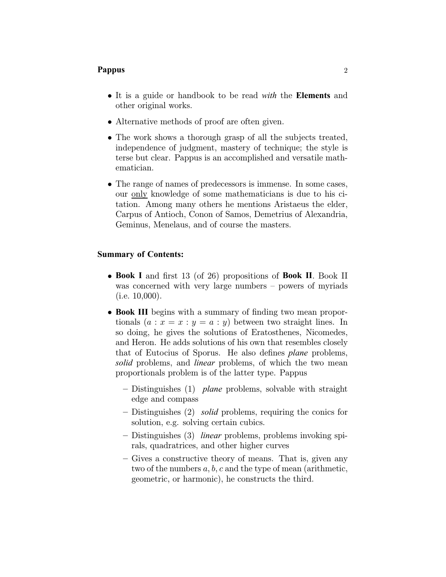- It is a guide or handbook to be read *with* the **Elements** and other original works.
- Alternative methods of proof are often given.
- The work shows a thorough grasp of all the subjects treated, independence of judgment, mastery of technique; the style is terse but clear. Pappus is an accomplished and versatile mathematician.
- The range of names of predecessors is immense. In some cases, our only knowledge of some mathematicians is due to his citation. Among many others he mentions Aristaeus the elder, Carpus of Antioch, Conon of Samos, Demetrius of Alexandria, Geminus, Menelaus, and of course the masters.

### **Summary of Contents:**

- Book I and first 13 (of 26) propositions of Book II. Book II was concerned with very large numbers  $-$  powers of myriads (i.e. 10,000).
- Book III begins with a summary of finding two mean proportionals  $(a : x = x : y = a : y)$  between two straight lines. In so doing, he gives the solutions of Eratosthenes, Nicomedes, and Heron. He adds solutions of his own that resembles closely that of Eutocius of Sporus. He also defines *plane* problems, *solid* problems, and *linear* problems, of which the two mean proportionals problem is of the latter type. Pappus
	- { Distinguishes (1) *plane* problems, solvable with straight edge and compass
	- { Distinguishes (2) *solid* problems, requiring the conics for solution, e.g. solving certain cubics.
	- { Distinguishes (3) *linear* problems, problems invoking spirals, quadratrices, and other higher curves
	- { Gives a constructive theory of means. That is, given any two of the numbers  $a, b, c$  and the type of mean (arithmetic, geometric, or harmonic), he constructs the third.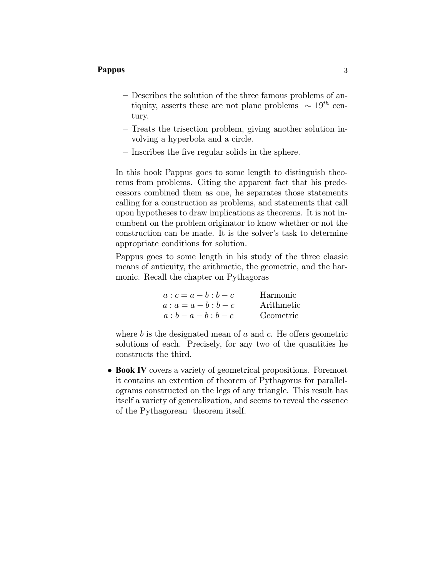- Describes the solution of the three famous problems of antiquity, asserts these are not plane problems  $\sim 19^{th}$  century.
- Treats the trisection problem, giving another solution involving a hyperbola and a circle.
- $-$  Inscribes the five regular solids in the sphere.

In this book Pappus goes to some length to distinguish theorems from problems. Citing the apparent fact that his predecessors combined them as one, he separates those statements calling for a construction as problems, and statements that call upon hypotheses to draw implications as theorems. It is not incumbent on the problem originator to know whether or not the construction can be made. It is the solver's task to determine appropriate conditions for solution.

Pappus goes to some length in his study of the three claasic means of anticuity, the arithmetic, the geometric, and the harmonic. Recall the chapter on Pythagoras

| $a : c = a - b : b - c$ | Harmonic   |
|-------------------------|------------|
| $a : a = a - b : b - c$ | Arithmetic |
| $a : b - a - b : b - c$ | Geometric  |

where b is the designated mean of  $a$  and  $c$ . He offers geometric solutions of each. Precisely, for any two of the quantities he constructs the third.

• Book IV covers a variety of geometrical propositions. Foremost it contains an extention of theorem of Pythagorus for parallelograms constructed on the legs of any triangle. This result has itself a variety of generalization, and seems to reveal the essence of the Pythagorean theorem itself.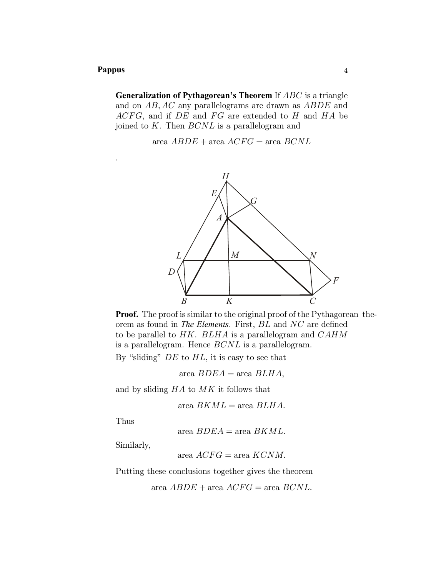.

**Generalization of Pythagorean's Theorem** If *ABC* is a triangle and on AB; AC any parallelograms are drawn as ABDE and  $ACFG$ , and if  $DE$  and  $FG$  are extended to H and  $HA$  be joined to  $K$ . Then  $BCNL$  is a parallelogram and

area  $ABDE + \text{area } ACFG = \text{area } BCNL$ 



**Proof.** The proof is similar to the original proof of the Pythagorean theorem as found in *The Elements*. First, *BL* and *NC* are defined to be parallel to  $HK$ .  $BLHA$  is a parallelogram and  $CAHM$ is a parallelogram. Hence  $BCNL$  is a parallelogram.

By "sliding"  $DE$  to  $HL$ , it is easy to see that

area  $BDEA = \text{area } BLHA$ ,

and by sliding  $HA$  to  $MK$  it follows that

area  $BKML = \text{area } BLHA$ .

Thus

area  $BDEA = \text{area } BKML$ .

Similarly,

area 
$$
ACFG
$$
 = area  $KCNM$ .

Putting these conclusions together gives the theorem

area  $ABDE$  + area  $ACFG$  = area  $BCNL$ .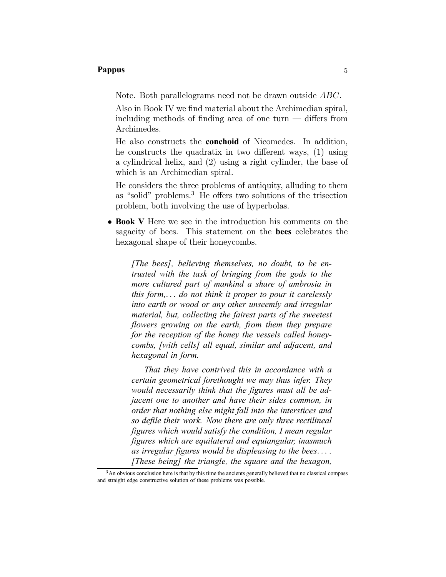Note. Both parallelograms need not be drawn outside ABC.

Also in Book IV we find material about the Archimedian spiral, including methods of finding area of one turn  $-$  differs from Archimedes.

He also constructs the **conchoid** of Nicomedes. In addition, he constructs the quadratix in two different ways,  $(1)$  using a cylindrical helix, and (2) using a right cylinder, the base of which is an Archimedian spiral.

He considers the three problems of antiquity, alluding to them as "solid" problems. $3$  He offers two solutions of the trisection problem, both involving the use of hyperbolas.

² **Book V** Here we see in the introduction his comments on the sagacity of bees. This statement on the **bees** celebrates the hexagonal shape of their honeycombs.

*[The bees], believing themselves, no doubt, to be entrusted with the task of bringing from the gods to the more cultured part of mankind a share of ambrosia in this form,*::: *do not think it proper to pour it carelessly into earth or wood or any other unseemly and irregular material, but, collecting the fairest parts of the sweetest flowers growing on the earth, from them they prepare for the reception of the honey the vessels called honeycombs, [with cells] all equal, similar and adjacent, and hexagonal in form.*

*That they have contrived this in accordance with a certain geometrical forethought we may thus infer. They would necessarily think that the figures must all be adjacent one to another and have their sides common, in order that nothing else might fall into the interstices and so defile their work. Now there are only three rectilineal figures which would satisfy the condition, I mean regular figures which are equilateral and equiangular, inasmuch as irregular figures would be displeasing to the bees.... [These being] the triangle, the square and the hexagon,*

<sup>&</sup>lt;sup>3</sup>An obvious conclusion here is that by this time the ancients generally believed that no classical compass and straight edge constructive solution of these problems was possible.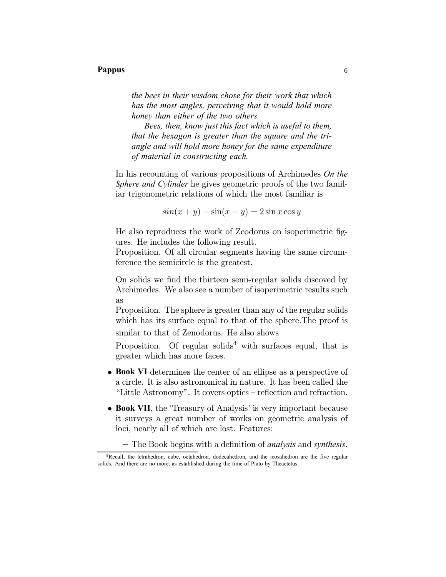*the bees in their wisdom chose for their work that which has the most angles, perceiving that it would hold more honey than either of the two others.*

*Bees, then, know just this fact which is useful to them, that the hexagon is greater than the square and the triangle and will hold more honey for the same expenditure of material in constructing each.*

In his recounting of various propositions of Archimedes *On the Sphere and Cylinder* he gives geometric proofs of the two familiar trigonometric relations of which the most familiar is

$$
\sin(x+y) + \sin(x-y) = 2\sin x \cos y
$$

He also reproduces the work of Zeodorus on isoperimetric figures. He includes the following result.

Proposition. Of all circular segments having the same circumference the semicircle is the greatest.

On solids we find the thirteen semi-regular solids discoved by Archimedes. We also see a number of isoperimetric results such as

Proposition. The sphere is greater than any of the regular solids which has its surface equal to that of the sphere.The proof is similar to that of Zenodorus. He also shows

Proposition. Of regular solids<sup>4</sup> with surfaces equal, that is greater which has more faces.

- Book VI determines the center of an ellipse as a perspective of a circle. It is also astronomical in nature. It has been called the "Little Astronomy". It covers optics  $-$  reflection and refraction.
- Book VII, the 'Treasury of Analysis' is very important because it surveys a great number of works on geometric analysis of loci, nearly all of which are lost. Features:
	- { The Book begins with a de¯nition of *analysis* and *synthesis*.

<sup>&</sup>lt;sup>4</sup>Recall, the tetrahedron, cube, octahedron, dodecahedron, and the icosahedron are the five regular solids. And there are no more, as established during the time of Plato by Theaetetus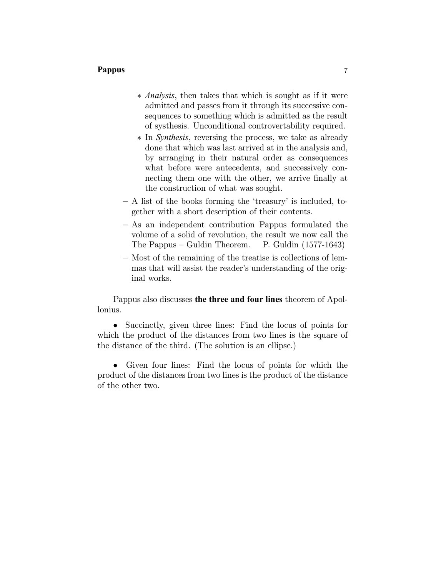- ¤ *Analysis*, then takes that which is sought as if it were admitted and passes from it through its successive consequences to something which is admitted as the result of systhesis. Unconditional controvertability required.
- ¤ In *Synthesis*, reversing the process, we take as already done that which was last arrived at in the analysis and, by arranging in their natural order as consequences what before were antecedents, and successively connecting them one with the other, we arrive finally at the construction of what was sought.
- ${\bf A}$  list of the books forming the 'treasury' is included, together with a short description of their contents.
- $-$  As an independent contribution Pappus formulated the volume of a solid of revolution, the result we now call the The Pappus  $-$  Guldin Theorem. P. Guldin  $(1577-1643)$
- Most of the remaining of the treatise is collections of lemmas that will assist the reader's understanding of the original works.

Pappus also discusses **the three and four lines** theorem of Apollonius.

• Succinctly, given three lines: Find the locus of points for which the product of the distances from two lines is the square of the distance of the third. (The solution is an ellipse.)

• Given four lines: Find the locus of points for which the product of the distances from two lines is the product of the distance of the other two.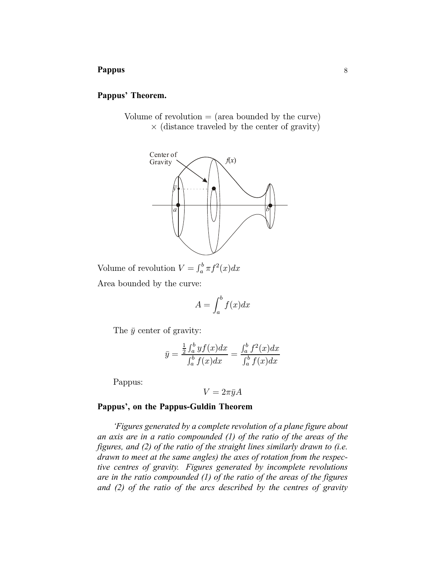### **Pappus' Theorem.**

Volume of revolution  $=$  (area bounded by the curve)  $\times$  (distance traveled by the center of gravity)



Volume of revolution  $V = \int_a^b \pi f^2(x) dx$ Area bounded by the curve:

$$
A = \int_{a}^{b} f(x)dx
$$

The  $\bar{y}$  center of gravity:

$$
\bar{y} = \frac{\frac{1}{2} \int_a^b y f(x) dx}{\int_a^b f(x) dx} = \frac{\int_a^b f^2(x) dx}{\int_a^b f(x) dx}
$$

Pappus:

$$
V=2\pi\bar{y}A
$$

### **Pappus', on the Pappus-Guldin Theorem**

*'Figures generated by a complete revolution of a plane figure about an axis are in a ratio compounded (1) of the ratio of the areas of the figures, and (2) of the ratio of the straight lines similarly drawn to (i.e. drawn to meet at the same angles) the axes of rotation from the respective centres of gravity. Figures generated by incomplete revolutions are in the ratio compounded (1) of the ratio of the areas of the figures and (2) of the ratio of the arcs described by the centres of gravity*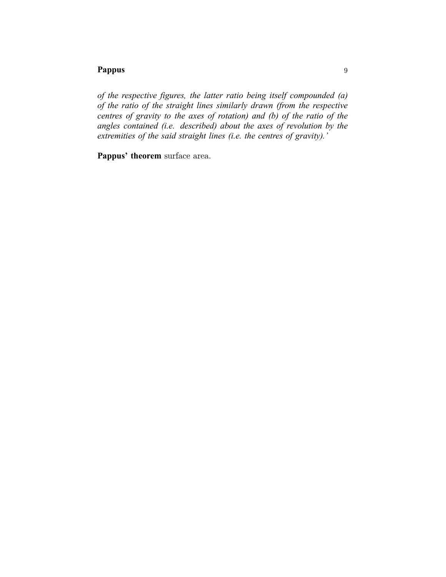*of the respective figures, the latter ratio being itself compounded (a) of the ratio of the straight lines similarly drawn (from the respective centres of gravity to the axes of rotation) and (b) of the ratio of the angles contained (i.e. described) about the axes of revolution by the extremities of the said straight lines (i.e. the centres of gravity).'*

**Pappus' theorem** surface area.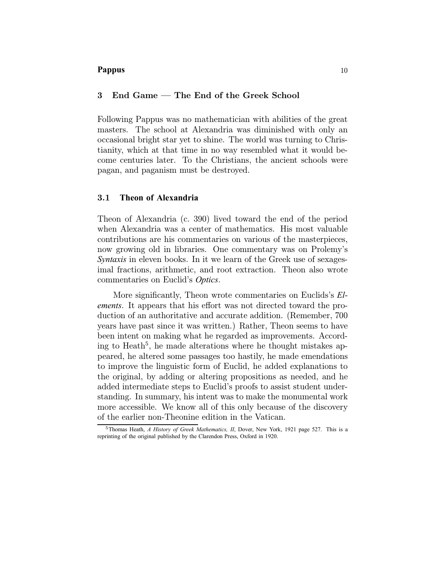### 3 End Game – The End of the Greek School

Following Pappus was no mathematician with abilities of the great masters. The school at Alexandria was diminished with only an occasional bright star yet to shine. The world was turning to Christianity, which at that time in no way resembled what it would become centuries later. To the Christians, the ancient schools were pagan, and paganism must be destroyed.

## 3.1 **Theon of Alexandria**

Theon of Alexandria (c. 390) lived toward the end of the period when Alexandria was a center of mathematics. His most valuable contributions are his commentaries on various of the masterpieces, now growing old in libraries. One commentary was on Prolemy's *Syntaxis* in eleven books. In it we learn of the Greek use of sexagesimal fractions, arithmetic, and root extraction. Theon also wrote commentaries on Euclid's *Optics*.

More significantly, Theon wrote commentaries on Euclids's *Elements*. It appears that his effort was not directed toward the production of an authoritative and accurate addition. (Remember, 700 years have past since it was written.) Rather, Theon seems to have been intent on making what he regarded as improvements. According to Heath<sup>5</sup>, he made alterations where he thought mistakes appeared, he altered some passages too hastily, he made emendations to improve the linguistic form of Euclid, he added explanations to the original, by adding or altering propositions as needed, and he added intermediate steps to Euclid's proofs to assist student understanding. In summary, his intent was to make the monumental work more accessible. We know all of this only because of the discovery of the earlier non-Theonine edition in the Vatican.

<sup>5</sup>Thomas Heath, *A History of Greek Mathematics, II*, Dover, New York, 1921 page 527. This is a reprinting of the original published by the Clarendon Press, Oxford in 1920.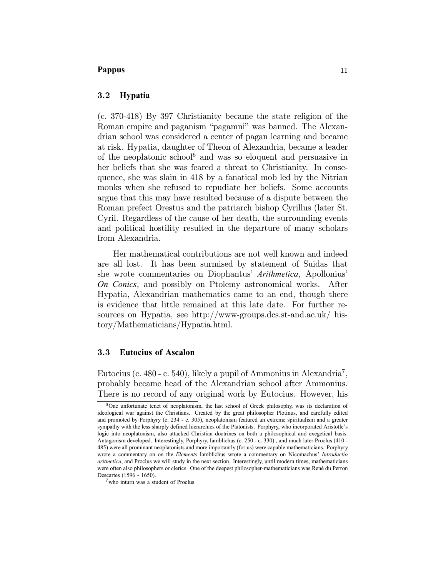### 3.2 **Hypatia**

(c. 370-418) By 397 Christianity became the state religion of the Roman empire and paganism "pagamni" was banned. The Alexandrian school was considered a center of pagan learning and became at risk. Hypatia, daughter of Theon of Alexandria, became a leader of the neoplatonic school<sup>6</sup> and was so eloquent and persuasive in her beliefs that she was feared a threat to Christianity. In consequence, she was slain in 418 by a fanatical mob led by the Nitrian monks when she refused to repudiate her beliefs. Some accounts argue that this may have resulted because of a dispute between the Roman prefect Orestus and the patriarch bishop Cyrillus (later St. Cyril. Regardless of the cause of her death, the surrounding events and political hostility resulted in the departure of many scholars from Alexandria.

Her mathematical contributions are not well known and indeed are all lost. It has been surmised by statement of Suidas that she wrote commentaries on Diophantus' *Arithmetica*, Apollonius' *On Conics*, and possibly on Ptolemy astronomical works. After Hypatia, Alexandrian mathematics came to an end, though there is evidence that little remained at this late date. For further resources on Hypatia, see http://www-groups.dcs.st-and.ac.uk/ history/Mathematicians/Hypatia.html.

### 3.3 **Eutocius of Ascalon**

Eutocius (c. 480 - c. 540), likely a pupil of Ammonius in Alexandria<sup>7</sup>, probably became head of the Alexandrian school after Ammonius. There is no record of any original work by Eutocius. However, his

 $6$ One unfortunate tenet of neoplatonism, the last school of Greek philosophy, was its declaration of ideological war against the Christians. Created by the great philosopher Plotinus, and carefully edited and promoted by Porphyry (c. 234 - c. 305), neoplatonism featured an extreme spiritualism and a greater sympathy with the less sharply defined hierarchies of the Platonists. Porphyry, who incorporated Aristotle's logic into neoplatonism, also attacked Christian doctrines on both a philosophical and exegetical basis. Antagonism developed. Interestingly, Porphyry, Iamblichus (c. 250 - c. 330) , and much later Proclus (410 - 485) were all prominant neoplatonists and more importantly (for us) were capable mathematicians. Porphyry wrote a commentary on on the *Elements* Iamblichus wrote a commentary on Nicomachus' *Introductio aritmetica*, and Proclus we will study in the next section. Interestingly, until modern times, mathematicians were often also philosophers or clerics. One of the deepest philosopher-mathematicians was René du Perron Descartes (1596 - 1650).

<sup>7</sup>who inturn was a student of Proclus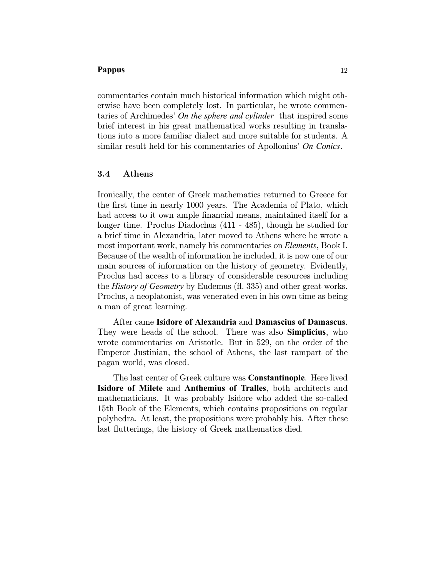commentaries contain much historical information which might otherwise have been completely lost. In particular, he wrote commentaries of Archimedes' *On the sphere and cylinder* that inspired some brief interest in his great mathematical works resulting in translations into a more familiar dialect and more suitable for students. A similar result held for his commentaries of Apollonius' *On Conics*.

# 3.4 Athens

Ironically, the center of Greek mathematics returned to Greece for the first time in nearly 1000 years. The Academia of Plato, which had access to it own ample financial means, maintained itself for a longer time. Proclus Diadochus (411 - 485), though he studied for a brief time in Alexandria, later moved to Athens where he wrote a most important work, namely his commentaries on *Elements*, Book I. Because of the wealth of information he included, it is now one of our main sources of information on the history of geometry. Evidently, Proclus had access to a library of considerable resources including the *History of Geometry* by Eudemus (fl. 335) and other great works. Proclus, a neoplatonist, was venerated even in his own time as being a man of great learning.

After came **Isidore of Alexandria** and **Damascius of Damascus**. They were heads of the school. There was also **Simplicius**, who wrote commentaries on Aristotle. But in 529, on the order of the Emperor Justinian, the school of Athens, the last rampart of the pagan world, was closed.

The last center of Greek culture was **Constantinople**. Here lived **Isidore of Milete** and **Anthemius of Tralles**, both architects and mathematicians. It was probably Isidore who added the so-called 15th Book of the Elements, which contains propositions on regular polyhedra. At least, the propositions were probably his. After these last flutterings, the history of Greek mathematics died.